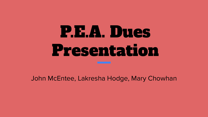# P.E.A. Dues Presentation

John McEntee, Lakresha Hodge, Mary Chowhan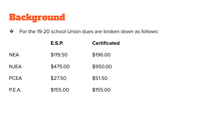## Background

❖ For the 19-20 school Union dues are broken down as follows:

|             | <b>E.S.P.</b> | <b>Certificated</b> |
|-------------|---------------|---------------------|
| <b>NEA</b>  | \$119.50      | \$196.00            |
| <b>NJEA</b> | \$475.00      | \$950.00            |
| <b>PCEA</b> | \$27.50       | \$51.50             |
| P.E.A.      | \$155.00      | \$155.00            |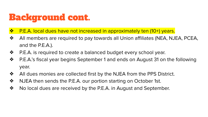# Background cont.

- ❖ P.E.A. local dues have not increased in approximately ten (10+) years.
- ❖ All members are required to pay towards all Union affiliates (NEA, NJEA, PCEA, and the P.E.A.).
- ❖ P.E.A. is required to create a balanced budget every school year.
- ❖ P.E.A.'s fiscal year begins September 1 and ends on August 31 on the following year.
- ❖ All dues monies are collected first by the NJEA from the PPS District.
- ❖ NJEA then sends the P.E.A. our portion starting on October 1st.
- ❖ No local dues are received by the P.E.A. in August and September.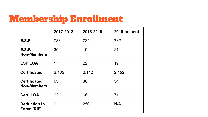# Membership Enrollment

|                                           | 2017-2018 | 2018-2019 | 2019-present |
|-------------------------------------------|-----------|-----------|--------------|
| E.S.P                                     | 738       | 724       | 732          |
| <b>E.S.P.</b><br><b>Non-Members</b>       | 30        | 19        | 21           |
| <b>ESP LOA</b>                            | 17        | 22        | 19           |
| <b>Certificated</b>                       | 2,165     | 2,142     | 2,152        |
| <b>Certificated</b><br><b>Non-Members</b> | 63        | 38        | 34           |
| <b>Cert. LOA</b>                          | 63        | 66        | 71           |
| <b>Reduction in</b><br>Force (RIF)        | 0         | 250       | N/A          |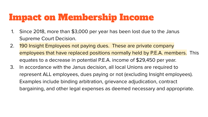# Impact on Membership Income

- 1. Since 2018, more than \$3,000 per year has been lost due to the Janus Supreme Court Decision.
- 2. 190 Insight Employees not paying dues. These are private company employees that have replaced positions normally held by P.E.A. members. This equates to a decrease in potential P.E.A. income of \$29,450 per year.
- 3. In accordance with the Janus decision, all local Unions are required to represent ALL employees, dues paying or not (excluding Insight employees). Examples include binding arbitration, grievance adjudication, contract bargaining, and other legal expenses as deemed necessary and appropriate.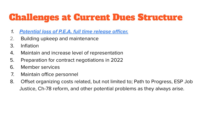# Challenges at Current Dues Structure

- **1. Potential loss of P.E.A. full time release officer.**
- 2. Building upkeep and maintenance
- 3. Inflation
- 4. Maintain and increase level of representation
- 5. Preparation for contract negotiations in 2022
- 6. Member services
- 7. Maintain office personnel
- 8. Offset organizing costs related, but not limited to; Path to Progress, ESP Job Justice, Ch-78 reform, and other potential problems as they always arise.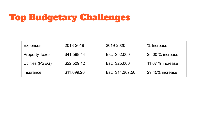# Top Budgetary Challenges

| Expenses              | 2018-2019   | 2019-2020        | % Increase       |
|-----------------------|-------------|------------------|------------------|
| <b>Property Taxes</b> | \$41,598.44 | Est: \$52,000    | 25.00 % increase |
| Utilities (PSEG)      | \$22,509.12 | Est: \$25,000    | 11.07 % increase |
| Insurance             | \$11,099.20 | Est: \$14,367.50 | 29.45% increase  |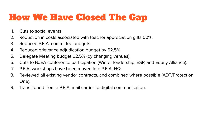# How We Have Closed The Gap

- 1. Cuts to social events
- 2. Reduction in costs associated with teacher appreciation gifts 50%.
- 3. Reduced P.E.A. committee budgets.
- 4. Reduced grievance adjudication budget by 62.5%
- 5. Delegate Meeting budget 62.5% (by changing venues).
- 6. Cuts to NJEA conference participation (Winter leadership, ESP, and Equity Alliance).
- 7. P.E.A. workshops have been moved into P.E.A. HQ.
- 8. Reviewed all existing vendor contracts, and combined where possible (ADT/Protection One).
- 9. Transitioned from a P.E.A. mail carrier to digital communication.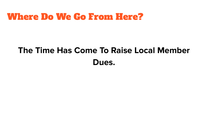#### Where Do We Go From Here?

# **The Time Has Come To Raise Local Member Dues.**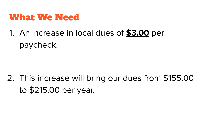### What We Need

1. An increase in local dues of **\$3.00** per paycheck.

2. This increase will bring our dues from \$155.00 to \$215.00 per year.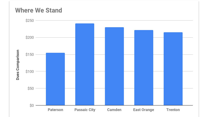